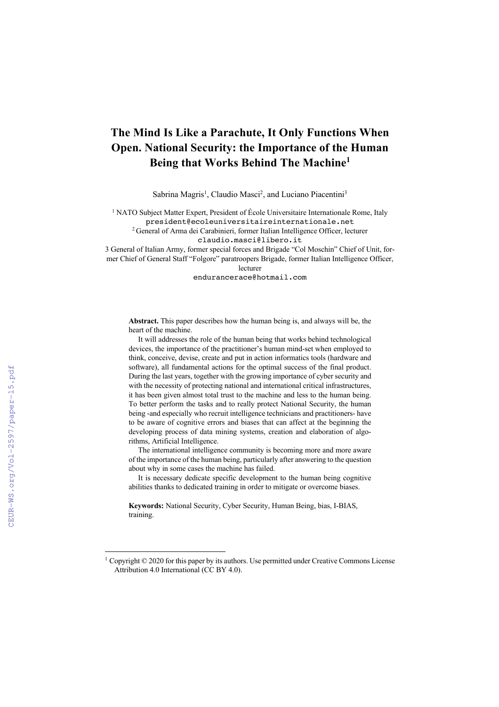# **The Mind Is Like a Parachute, It Only Functions When Open. National Security: the Importance of the Human Being that Works Behind The Machine1**

Sabrina Magris<sup>1</sup>, Claudio Masci<sup>2</sup>, and Luciano Piacentini<sup>3</sup>

<sup>1</sup> NATO Subject Matter Expert, President of École Universitaire Internationale Rome, Italy president@ecoleuniversitaireinternationale.net

2 General of Arma dei Carabinieri, former Italian Intelligence Officer, lecturer

claudio.masci@libero.it

3 General of Italian Army, former special forces and Brigade "Col Moschin" Chief of Unit, former Chief of General Staff "Folgore" paratroopers Brigade, former Italian Intelligence Officer, lecturer

endurancerace@hotmail.com

**Abstract.** This paper describes how the human being is, and always will be, the heart of the machine.

It will addresses the role of the human being that works behind technological devices, the importance of the practitioner's human mind-set when employed to think, conceive, devise, create and put in action informatics tools (hardware and software), all fundamental actions for the optimal success of the final product. During the last years, together with the growing importance of cyber security and with the necessity of protecting national and international critical infrastructures, it has been given almost total trust to the machine and less to the human being. To better perform the tasks and to really protect National Security, the human being -and especially who recruit intelligence technicians and practitioners- have to be aware of cognitive errors and biases that can affect at the beginning the developing process of data mining systems, creation and elaboration of algorithms, Artificial Intelligence.

The international intelligence community is becoming more and more aware of the importance of the human being, particularly after answering to the question about why in some cases the machine has failed.

It is necessary dedicate specific development to the human being cognitive abilities thanks to dedicated training in order to mitigate or overcome biases.

**Keywords:** National Security, Cyber Security, Human Being, bias, I-BIAS, training.

<sup>&</sup>lt;sup>1</sup> Copyright  $\odot$  2020 for this paper by its authors. Use permitted under Creative Commons License Attribution 4.0 International (CC BY 4.0).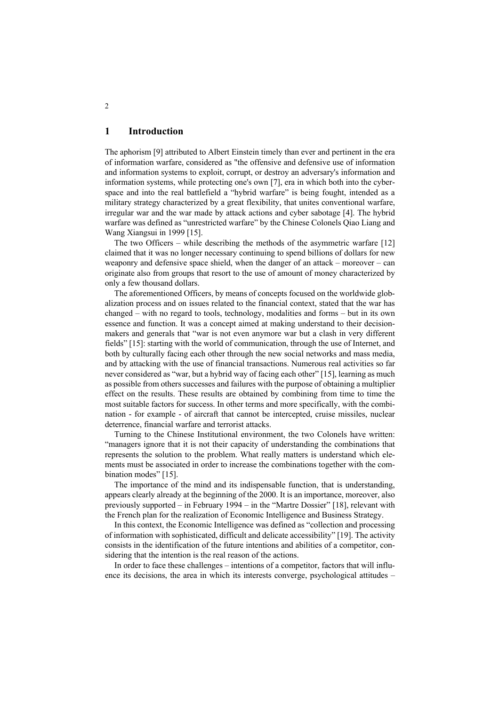## **1 Introduction**

The aphorism [9] attributed to Albert Einstein timely than ever and pertinent in the era of information warfare, considered as "the offensive and defensive use of information and information systems to exploit, corrupt, or destroy an adversary's information and information systems, while protecting one's own [7], era in which both into the cyberspace and into the real battlefield a "hybrid warfare" is being fought, intended as a military strategy characterized by a great flexibility, that unites conventional warfare, irregular war and the war made by attack actions and cyber sabotage [4]. The hybrid warfare was defined as "unrestricted warfare" by the Chinese Colonels Qiao Liang and Wang Xiangsui in 1999 [15].

The two Officers – while describing the methods of the asymmetric warfare [12] claimed that it was no longer necessary continuing to spend billions of dollars for new weaponry and defensive space shield, when the danger of an attack – moreover – can originate also from groups that resort to the use of amount of money characterized by only a few thousand dollars.

The aforementioned Officers, by means of concepts focused on the worldwide globalization process and on issues related to the financial context, stated that the war has changed – with no regard to tools, technology, modalities and forms – but in its own essence and function. It was a concept aimed at making understand to their decisionmakers and generals that "war is not even anymore war but a clash in very different fields" [15]: starting with the world of communication, through the use of Internet, and both by culturally facing each other through the new social networks and mass media, and by attacking with the use of financial transactions. Numerous real activities so far never considered as "war, but a hybrid way of facing each other" [15], learning as much as possible from others successes and failures with the purpose of obtaining a multiplier effect on the results. These results are obtained by combining from time to time the most suitable factors for success. In other terms and more specifically, with the combination - for example - of aircraft that cannot be intercepted, cruise missiles, nuclear deterrence, financial warfare and terrorist attacks.

Turning to the Chinese Institutional environment, the two Colonels have written: "managers ignore that it is not their capacity of understanding the combinations that represents the solution to the problem. What really matters is understand which elements must be associated in order to increase the combinations together with the combination modes" [15].

The importance of the mind and its indispensable function, that is understanding, appears clearly already at the beginning of the 2000. It is an importance, moreover, also previously supported – in February 1994 – in the "Martre Dossier" [18], relevant with the French plan for the realization of Economic Intelligence and Business Strategy.

In this context, the Economic Intelligence was defined as "collection and processing of information with sophisticated, difficult and delicate accessibility" [19]. The activity consists in the identification of the future intentions and abilities of a competitor, considering that the intention is the real reason of the actions.

In order to face these challenges – intentions of a competitor, factors that will influence its decisions, the area in which its interests converge, psychological attitudes –

2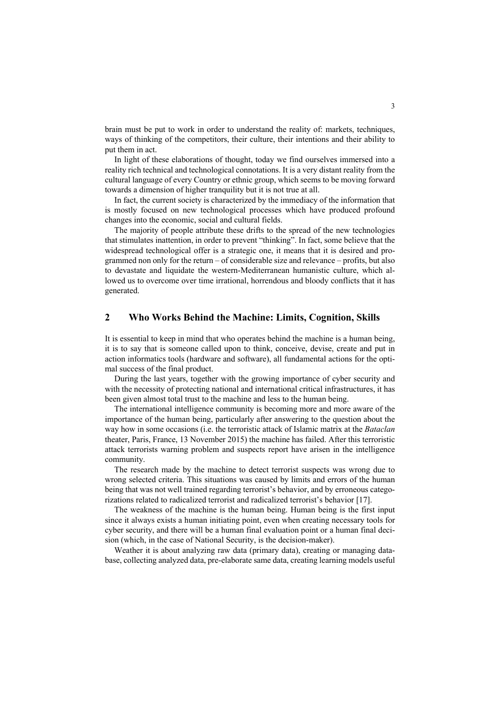brain must be put to work in order to understand the reality of: markets, techniques, ways of thinking of the competitors, their culture, their intentions and their ability to put them in act.

In light of these elaborations of thought, today we find ourselves immersed into a reality rich technical and technological connotations. It is a very distant reality from the cultural language of every Country or ethnic group, which seems to be moving forward towards a dimension of higher tranquility but it is not true at all.

In fact, the current society is characterized by the immediacy of the information that is mostly focused on new technological processes which have produced profound changes into the economic, social and cultural fields.

The majority of people attribute these drifts to the spread of the new technologies that stimulates inattention, in order to prevent "thinking". In fact, some believe that the widespread technological offer is a strategic one, it means that it is desired and programmed non only for the return – of considerable size and relevance – profits, but also to devastate and liquidate the western-Mediterranean humanistic culture, which allowed us to overcome over time irrational, horrendous and bloody conflicts that it has generated.

## **2 Who Works Behind the Machine: Limits, Cognition, Skills**

It is essential to keep in mind that who operates behind the machine is a human being, it is to say that is someone called upon to think, conceive, devise, create and put in action informatics tools (hardware and software), all fundamental actions for the optimal success of the final product.

During the last years, together with the growing importance of cyber security and with the necessity of protecting national and international critical infrastructures, it has been given almost total trust to the machine and less to the human being.

The international intelligence community is becoming more and more aware of the importance of the human being, particularly after answering to the question about the way how in some occasions (i.e. the terroristic attack of Islamic matrix at the *Bataclan* theater, Paris, France, 13 November 2015) the machine has failed. After this terroristic attack terrorists warning problem and suspects report have arisen in the intelligence community.

The research made by the machine to detect terrorist suspects was wrong due to wrong selected criteria. This situations was caused by limits and errors of the human being that was not well trained regarding terrorist's behavior, and by erroneous categorizations related to radicalized terrorist and radicalized terrorist's behavior [17].

The weakness of the machine is the human being. Human being is the first input since it always exists a human initiating point, even when creating necessary tools for cyber security, and there will be a human final evaluation point or a human final decision (which, in the case of National Security, is the decision-maker).

Weather it is about analyzing raw data (primary data), creating or managing database, collecting analyzed data, pre-elaborate same data, creating learning models useful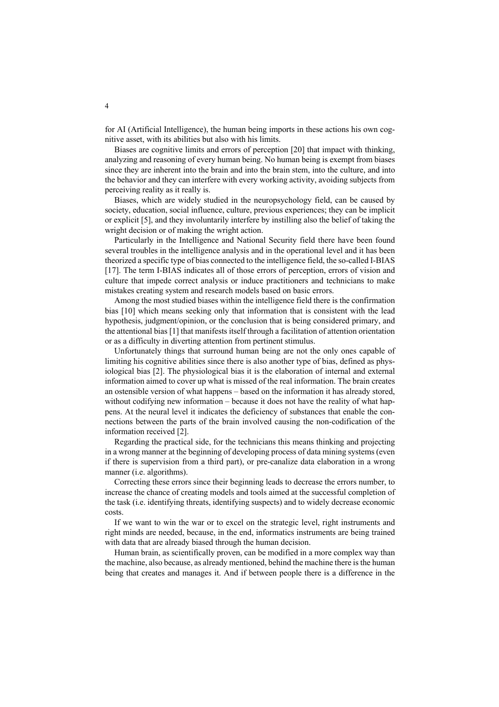for AI (Artificial Intelligence), the human being imports in these actions his own cognitive asset, with its abilities but also with his limits.

Biases are cognitive limits and errors of perception [20] that impact with thinking, analyzing and reasoning of every human being. No human being is exempt from biases since they are inherent into the brain and into the brain stem, into the culture, and into the behavior and they can interfere with every working activity, avoiding subjects from perceiving reality as it really is.

Biases, which are widely studied in the neuropsychology field, can be caused by society, education, social influence, culture, previous experiences; they can be implicit or explicit [5], and they involuntarily interfere by instilling also the belief of taking the wright decision or of making the wright action.

Particularly in the Intelligence and National Security field there have been found several troubles in the intelligence analysis and in the operational level and it has been theorized a specific type of bias connected to the intelligence field, the so-called I-BIAS [17]. The term I-BIAS indicates all of those errors of perception, errors of vision and culture that impede correct analysis or induce practitioners and technicians to make mistakes creating system and research models based on basic errors.

Among the most studied biases within the intelligence field there is the confirmation bias [10] which means seeking only that information that is consistent with the lead hypothesis, judgment/opinion, or the conclusion that is being considered primary, and the attentional bias [1] that manifests itself through a facilitation of attention orientation or as a difficulty in diverting attention from pertinent stimulus.

Unfortunately things that surround human being are not the only ones capable of limiting his cognitive abilities since there is also another type of bias, defined as physiological bias [2]. The physiological bias it is the elaboration of internal and external information aimed to cover up what is missed of the real information. The brain creates an ostensible version of what happens – based on the information it has already stored, without codifying new information – because it does not have the reality of what happens. At the neural level it indicates the deficiency of substances that enable the connections between the parts of the brain involved causing the non-codification of the information received [2].

Regarding the practical side, for the technicians this means thinking and projecting in a wrong manner at the beginning of developing process of data mining systems (even if there is supervision from a third part), or pre-canalize data elaboration in a wrong manner (i.e. algorithms).

Correcting these errors since their beginning leads to decrease the errors number, to increase the chance of creating models and tools aimed at the successful completion of the task (i.e. identifying threats, identifying suspects) and to widely decrease economic costs.

If we want to win the war or to excel on the strategic level, right instruments and right minds are needed, because, in the end, informatics instruments are being trained with data that are already biased through the human decision.

Human brain, as scientifically proven, can be modified in a more complex way than the machine, also because, as already mentioned, behind the machine there is the human being that creates and manages it. And if between people there is a difference in the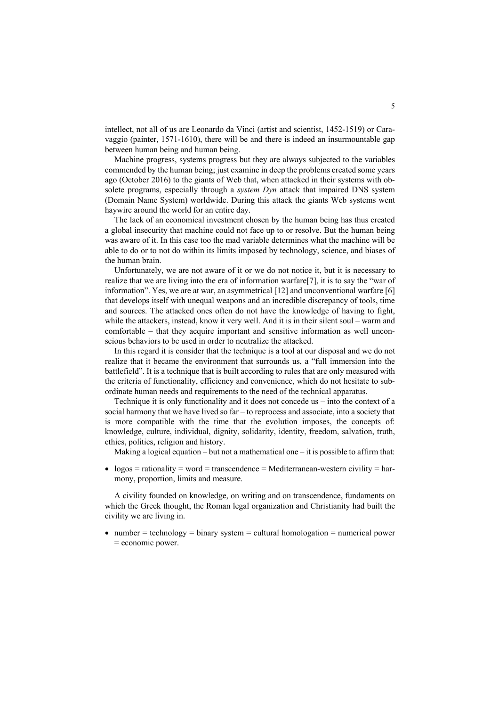intellect, not all of us are Leonardo da Vinci (artist and scientist, 1452-1519) or Caravaggio (painter, 1571-1610), there will be and there is indeed an insurmountable gap between human being and human being.

Machine progress, systems progress but they are always subjected to the variables commended by the human being; just examine in deep the problems created some years ago (October 2016) to the giants of Web that, when attacked in their systems with obsolete programs, especially through a *system Dyn* attack that impaired DNS system (Domain Name System) worldwide. During this attack the giants Web systems went haywire around the world for an entire day.

The lack of an economical investment chosen by the human being has thus created a global insecurity that machine could not face up to or resolve. But the human being was aware of it. In this case too the mad variable determines what the machine will be able to do or to not do within its limits imposed by technology, science, and biases of the human brain.

Unfortunately, we are not aware of it or we do not notice it, but it is necessary to realize that we are living into the era of information warfare[7], it is to say the "war of information". Yes, we are at war, an asymmetrical [12] and unconventional warfare [6] that develops itself with unequal weapons and an incredible discrepancy of tools, time and sources. The attacked ones often do not have the knowledge of having to fight, while the attackers, instead, know it very well. And it is in their silent soul – warm and comfortable – that they acquire important and sensitive information as well unconscious behaviors to be used in order to neutralize the attacked.

In this regard it is consider that the technique is a tool at our disposal and we do not realize that it became the environment that surrounds us, a "full immersion into the battlefield". It is a technique that is built according to rules that are only measured with the criteria of functionality, efficiency and convenience, which do not hesitate to subordinate human needs and requirements to the need of the technical apparatus.

Technique it is only functionality and it does not concede us – into the context of a social harmony that we have lived so far – to reprocess and associate, into a society that is more compatible with the time that the evolution imposes, the concepts of: knowledge, culture, individual, dignity, solidarity, identity, freedom, salvation, truth, ethics, politics, religion and history.

Making a logical equation – but not a mathematical one – it is possible to affirm that:

•  $logos =$  rationality = word = transcendence = Mediterranean-western civility = harmony, proportion, limits and measure.

A civility founded on knowledge, on writing and on transcendence, fundaments on which the Greek thought, the Roman legal organization and Christianity had built the civility we are living in.

• number = technology = binary system = cultural homologation = numerical power = economic power.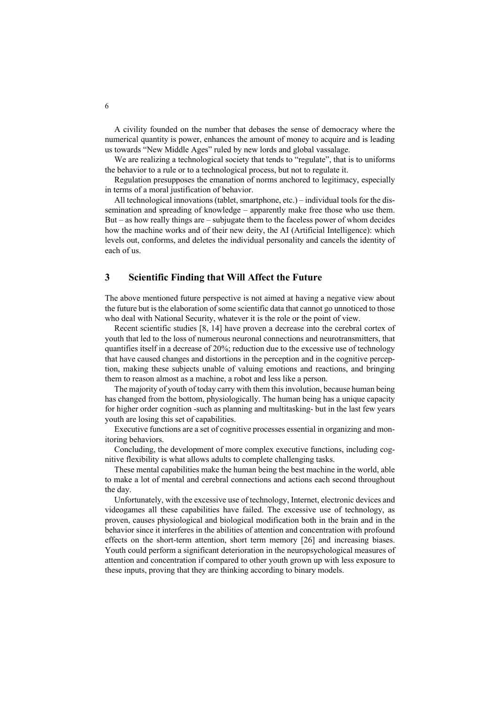A civility founded on the number that debases the sense of democracy where the numerical quantity is power, enhances the amount of money to acquire and is leading us towards "New Middle Ages" ruled by new lords and global vassalage.

We are realizing a technological society that tends to "regulate", that is to uniforms the behavior to a rule or to a technological process, but not to regulate it.

Regulation presupposes the emanation of norms anchored to legitimacy, especially in terms of a moral justification of behavior.

All technological innovations (tablet, smartphone, etc.) – individual tools for the dissemination and spreading of knowledge – apparently make free those who use them. But – as how really things are – subjugate them to the faceless power of whom decides how the machine works and of their new deity, the AI (Artificial Intelligence): which levels out, conforms, and deletes the individual personality and cancels the identity of each of us.

## **3 Scientific Finding that Will Affect the Future**

The above mentioned future perspective is not aimed at having a negative view about the future but is the elaboration of some scientific data that cannot go unnoticed to those who deal with National Security, whatever it is the role or the point of view.

Recent scientific studies [8, 14] have proven a decrease into the cerebral cortex of youth that led to the loss of numerous neuronal connections and neurotransmitters, that quantifies itself in a decrease of  $20\%$ ; reduction due to the excessive use of technology that have caused changes and distortions in the perception and in the cognitive perception, making these subjects unable of valuing emotions and reactions, and bringing them to reason almost as a machine, a robot and less like a person.

The majority of youth of today carry with them this involution, because human being has changed from the bottom, physiologically. The human being has a unique capacity for higher order cognition -such as planning and multitasking- but in the last few years youth are losing this set of capabilities.

Executive functions are a set of cognitive processes essential in organizing and monitoring behaviors.

Concluding, the development of more complex executive functions, including cognitive flexibility is what allows adults to complete challenging tasks.

These mental capabilities make the human being the best machine in the world, able to make a lot of mental and cerebral connections and actions each second throughout the day.

Unfortunately, with the excessive use of technology, Internet, electronic devices and videogames all these capabilities have failed. The excessive use of technology, as proven, causes physiological and biological modification both in the brain and in the behavior since it interferes in the abilities of attention and concentration with profound effects on the short-term attention, short term memory [26] and increasing biases. Youth could perform a significant deterioration in the neuropsychological measures of attention and concentration if compared to other youth grown up with less exposure to these inputs, proving that they are thinking according to binary models.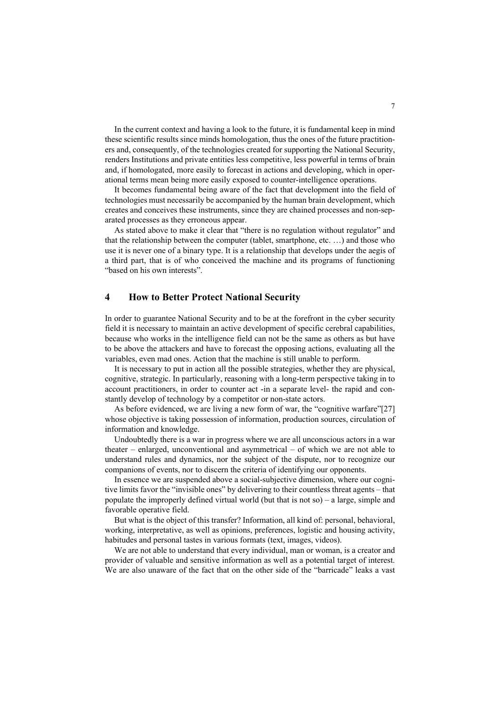In the current context and having a look to the future, it is fundamental keep in mind these scientific results since minds homologation, thus the ones of the future practitioners and, consequently, of the technologies created for supporting the National Security, renders Institutions and private entities less competitive, less powerful in terms of brain and, if homologated, more easily to forecast in actions and developing, which in operational terms mean being more easily exposed to counter-intelligence operations.

It becomes fundamental being aware of the fact that development into the field of technologies must necessarily be accompanied by the human brain development, which creates and conceives these instruments, since they are chained processes and non-separated processes as they erroneous appear.

As stated above to make it clear that "there is no regulation without regulator" and that the relationship between the computer (tablet, smartphone, etc. …) and those who use it is never one of a binary type. It is a relationship that develops under the aegis of a third part, that is of who conceived the machine and its programs of functioning "based on his own interests".

### **4 How to Better Protect National Security**

In order to guarantee National Security and to be at the forefront in the cyber security field it is necessary to maintain an active development of specific cerebral capabilities, because who works in the intelligence field can not be the same as others as but have to be above the attackers and have to forecast the opposing actions, evaluating all the variables, even mad ones. Action that the machine is still unable to perform.

It is necessary to put in action all the possible strategies, whether they are physical, cognitive, strategic. In particularly, reasoning with a long-term perspective taking in to account practitioners, in order to counter act -in a separate level- the rapid and constantly develop of technology by a competitor or non-state actors.

As before evidenced, we are living a new form of war, the "cognitive warfare"[27] whose objective is taking possession of information, production sources, circulation of information and knowledge.

Undoubtedly there is a war in progress where we are all unconscious actors in a war theater – enlarged, unconventional and asymmetrical – of which we are not able to understand rules and dynamics, nor the subject of the dispute, nor to recognize our companions of events, nor to discern the criteria of identifying our opponents.

In essence we are suspended above a social-subjective dimension, where our cognitive limits favor the "invisible ones" by delivering to their countless threat agents – that populate the improperly defined virtual world (but that is not so) – a large, simple and favorable operative field.

But what is the object of this transfer? Information, all kind of: personal, behavioral, working, interpretative, as well as opinions, preferences, logistic and housing activity, habitudes and personal tastes in various formats (text, images, videos).

We are not able to understand that every individual, man or woman, is a creator and provider of valuable and sensitive information as well as a potential target of interest. We are also unaware of the fact that on the other side of the "barricade" leaks a vast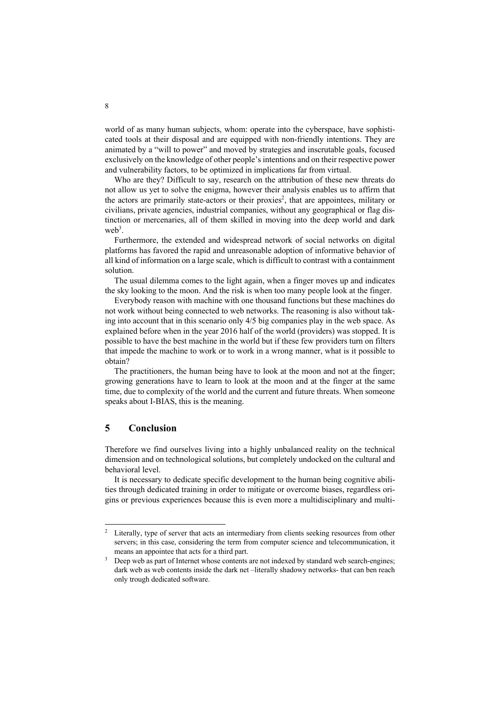world of as many human subjects, whom: operate into the cyberspace, have sophisticated tools at their disposal and are equipped with non-friendly intentions. They are animated by a "will to power" and moved by strategies and inscrutable goals, focused exclusively on the knowledge of other people's intentions and on their respective power and vulnerability factors, to be optimized in implications far from virtual.

Who are they? Difficult to say, research on the attribution of these new threats do not allow us yet to solve the enigma, however their analysis enables us to affirm that the actors are primarily state-actors or their proxies<sup>2</sup>, that are appointees, military or civilians, private agencies, industrial companies, without any geographical or flag distinction or mercenaries, all of them skilled in moving into the deep world and dark  $web<sup>3</sup>$ .

Furthermore, the extended and widespread network of social networks on digital platforms has favored the rapid and unreasonable adoption of informative behavior of all kind of information on a large scale, which is difficult to contrast with a containment solution.

The usual dilemma comes to the light again, when a finger moves up and indicates the sky looking to the moon. And the risk is when too many people look at the finger.

Everybody reason with machine with one thousand functions but these machines do not work without being connected to web networks. The reasoning is also without taking into account that in this scenario only 4/5 big companies play in the web space. As explained before when in the year 2016 half of the world (providers) was stopped. It is possible to have the best machine in the world but if these few providers turn on filters that impede the machine to work or to work in a wrong manner, what is it possible to obtain?

The practitioners, the human being have to look at the moon and not at the finger; growing generations have to learn to look at the moon and at the finger at the same time, due to complexity of the world and the current and future threats. When someone speaks about I-BIAS, this is the meaning.

#### **5 Conclusion**

Therefore we find ourselves living into a highly unbalanced reality on the technical dimension and on technological solutions, but completely undocked on the cultural and behavioral level.

It is necessary to dedicate specific development to the human being cognitive abilities through dedicated training in order to mitigate or overcome biases, regardless origins or previous experiences because this is even more a multidisciplinary and multi-

<sup>&</sup>lt;sup>2</sup> Literally, type of server that acts an intermediary from clients seeking resources from other servers; in this case, considering the term from computer science and telecommunication, it means an appointee that acts for a third part.

<sup>&</sup>lt;sup>3</sup> Deep web as part of Internet whose contents are not indexed by standard web search-engines; dark web as web contents inside the dark net –literally shadowy networks- that can ben reach only trough dedicated software.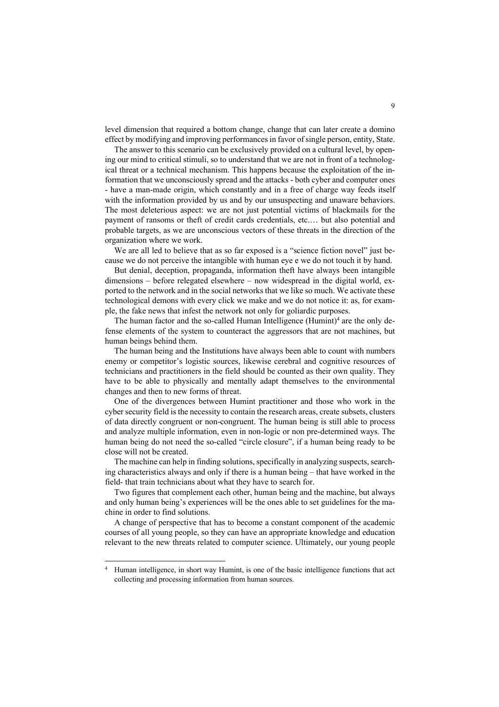level dimension that required a bottom change, change that can later create a domino effect by modifying and improving performances in favor of single person, entity, State.

The answer to this scenario can be exclusively provided on a cultural level, by opening our mind to critical stimuli, so to understand that we are not in front of a technological threat or a technical mechanism. This happens because the exploitation of the information that we unconsciously spread and the attacks - both cyber and computer ones - have a man-made origin, which constantly and in a free of charge way feeds itself with the information provided by us and by our unsuspecting and unaware behaviors. The most deleterious aspect: we are not just potential victims of blackmails for the payment of ransoms or theft of credit cards credentials, etc.… but also potential and probable targets, as we are unconscious vectors of these threats in the direction of the organization where we work.

We are all led to believe that as so far exposed is a "science fiction novel" just because we do not perceive the intangible with human eye e we do not touch it by hand.

But denial, deception, propaganda, information theft have always been intangible dimensions – before relegated elsewhere – now widespread in the digital world, exported to the network and in the social networks that we like so much. We activate these technological demons with every click we make and we do not notice it: as, for example, the fake news that infest the network not only for goliardic purposes.

The human factor and the so-called Human Intelligence  $(Humint)<sup>4</sup>$  are the only defense elements of the system to counteract the aggressors that are not machines, but human beings behind them.

The human being and the Institutions have always been able to count with numbers enemy or competitor's logistic sources, likewise cerebral and cognitive resources of technicians and practitioners in the field should be counted as their own quality. They have to be able to physically and mentally adapt themselves to the environmental changes and then to new forms of threat.

One of the divergences between Humint practitioner and those who work in the cyber security field is the necessity to contain the research areas, create subsets, clusters of data directly congruent or non-congruent. The human being is still able to process and analyze multiple information, even in non-logic or non pre-determined ways. The human being do not need the so-called "circle closure", if a human being ready to be close will not be created.

The machine can help in finding solutions, specifically in analyzing suspects, searching characteristics always and only if there is a human being – that have worked in the field- that train technicians about what they have to search for.

Two figures that complement each other, human being and the machine, but always and only human being's experiences will be the ones able to set guidelines for the machine in order to find solutions.

A change of perspective that has to become a constant component of the academic courses of all young people, so they can have an appropriate knowledge and education relevant to the new threats related to computer science. Ultimately, our young people

<sup>4</sup> Human intelligence, in short way Humint, is one of the basic intelligence functions that act collecting and processing information from human sources.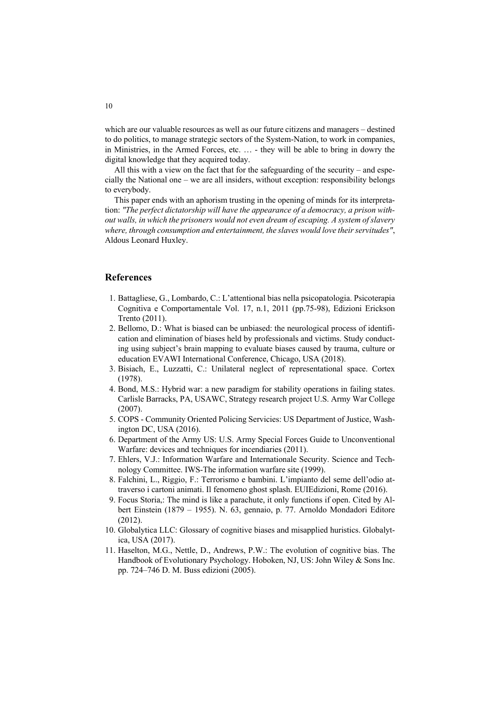which are our valuable resources as well as our future citizens and managers – destined to do politics, to manage strategic sectors of the System-Nation, to work in companies, in Ministries, in the Armed Forces, etc. … - they will be able to bring in dowry the digital knowledge that they acquired today.

All this with a view on the fact that for the safeguarding of the security – and especially the National one – we are all insiders, without exception: responsibility belongs to everybody.

This paper ends with an aphorism trusting in the opening of minds for its interpretation: *"The perfect dictatorship will have the appearance of a democracy, a prison without walls, in which the prisoners would not even dream of escaping. A system of slavery where, through consumption and entertainment, the slaves would love their servitudes"*, Aldous Leonard Huxley.

#### **References**

- 1. Battagliese, G., Lombardo, C.: L'attentional bias nella psicopatologia. Psicoterapia Cognitiva e Comportamentale Vol. 17, n.1, 2011 (pp.75-98), Edizioni Erickson Trento (2011).
- 2. Bellomo, D.: What is biased can be unbiased: the neurological process of identification and elimination of biases held by professionals and victims. Study conducting using subject's brain mapping to evaluate biases caused by trauma, culture or education EVAWI International Conference, Chicago, USA (2018).
- 3. Bisiach, E., Luzzatti, C.: Unilateral neglect of representational space. Cortex (1978).
- 4. Bond, M.S.: Hybrid war: a new paradigm for stability operations in failing states. Carlisle Barracks, PA, USAWC, Strategy research project U.S. Army War College (2007).
- 5. COPS Community Oriented Policing Servicies: US Department of Justice, Washington DC, USA (2016).
- 6. Department of the Army US: U.S. Army Special Forces Guide to Unconventional Warfare: devices and techniques for incendiaries (2011).
- 7. Ehlers, V.J.: Information Warfare and Internationale Security. Science and Technology Committee. IWS-The information warfare site (1999).
- 8. Falchini, L., Riggio, F.: Terrorismo e bambini. L'impianto del seme dell'odio attraverso i cartoni animati. Il fenomeno ghost splash. EUIEdizioni, Rome (2016).
- 9. Focus Storia,: The mind is like a parachute, it only functions if open. Cited by Albert Einstein (1879 – 1955). N. 63, gennaio, p. 77. Arnoldo Mondadori Editore (2012).
- 10. Globalytica LLC: Glossary of cognitive biases and misapplied huristics. Globalytica, USA (2017).
- 11. Haselton, M.G., Nettle, D., Andrews, P.W.: The evolution of cognitive bias. The Handbook of Evolutionary Psychology. Hoboken, NJ, US: John Wiley & Sons Inc. pp. 724–746 D. M. Buss edizioni (2005).